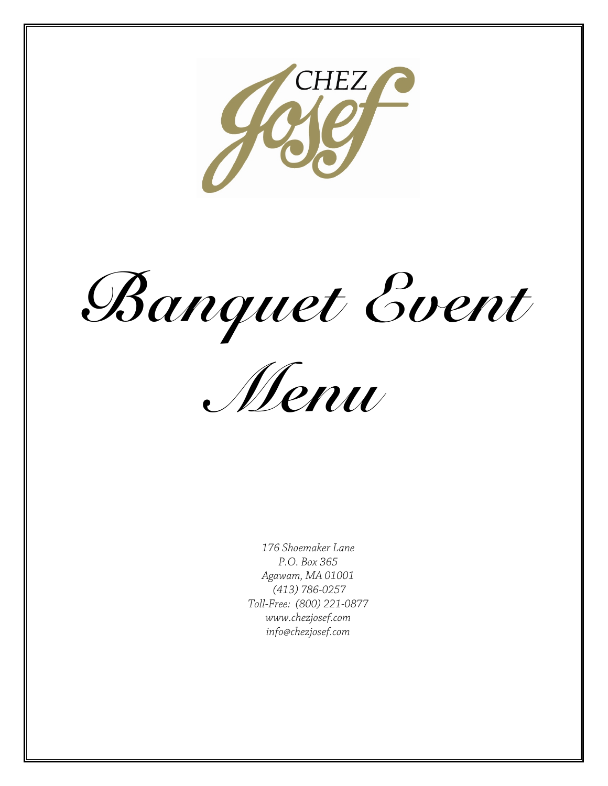

Banquet Event



176 Shoemaker Lane P.O. Box 365 Agawam, MA 01001 (413) 786-0257 Toll-Free: (800) 221-0877 www.chezjosef.com info@chezjosef.com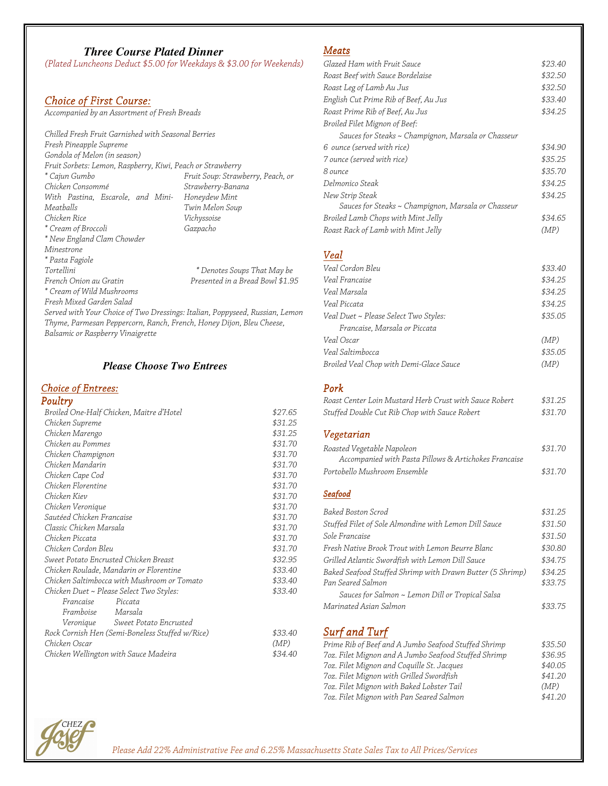# *Three Course Plated Dinner*

(Plated Luncheons Deduct \$5.00 for Weekdays & \$3.00 for Weekends)

### Choice of First Course:

Accompanied by an Assortment of Fresh Breads

Chilled Fresh Fruit Garnished with Seasonal Berries Fresh Pineapple Supreme Gondola of Melon (in season) Fruit Sorbets: Lemon, Raspberry, Kiwi, Peach or Strawberry \* Cajun Gumbo Chicken Consommé With Pastina, Escarole, and Mini-Honeydew Mint Meatballs Chicken Rice \* Cream of Broccoli \* New England Clam Chowder Minestrone \* Pasta Fagiole Tortellini French Onion au Gratin \* Cream of Wild Mushrooms Fruit Soup: Strawberry, Peach, or Strawberry-Banana Twin Melon Soup Vichyssoise Gazpacho \* Denotes Soups That May be Presented in a Bread Bowl \$1.95

Fresh Mixed Garden Salad

Served with Your Choice of Two Dressings: Italian, Poppyseed, Russian, Lemon Thyme, Parmesan Peppercorn, Ranch, French, Honey Dijon, Bleu Cheese, Balsamic or Raspberry Vinaigrette

# *Please Choose Two Entrees*

# Choice of Entrees:

| Poultry                                         |         |
|-------------------------------------------------|---------|
| Broiled One-Half Chicken, Maitre d'Hotel        | \$27.65 |
| Chicken Supreme                                 | \$31.25 |
| Chicken Marengo                                 | \$31.25 |
| Chicken au Pommes                               | \$31.70 |
| Chicken Champignon                              | \$31.70 |
| Chicken Mandarin                                | \$31.70 |
| Chicken Cape Cod                                | \$31.70 |
| Chicken Florentine                              | \$31.70 |
| Chicken Kiev                                    | \$31.70 |
| Chicken Veronique                               | \$31.70 |
| Sautéed Chicken Francaise                       | \$31.70 |
| Classic Chicken Marsala                         | \$31.70 |
| Chicken Piccata                                 | \$31.70 |
| Chicken Cordon Bleu                             | \$31.70 |
| Sweet Potato Encrusted Chicken Breast           | \$32.95 |
| Chicken Roulade, Mandarin or Florentine         | \$33.40 |
| Chicken Saltimbocca with Mushroom or Tomato     | \$33.40 |
| Chicken Duet ~ Please Select Two Styles:        | \$33.40 |
| Francaise<br>Piccata                            |         |
| Framboise Marsala                               |         |
| Veronique Sweet Potato Encrusted                |         |
| Rock Cornish Hen (Semi-Boneless Stuffed w/Rice) | \$33.40 |
| Chicken Oscar                                   | (MP)    |
| Chicken Wellington with Sauce Madeira           | \$34.40 |

# Meats

| Glazed Ham with Fruit Sauce                         | \$23.40 |
|-----------------------------------------------------|---------|
| Roast Beef with Sauce Bordelaise                    | \$32.50 |
| Roast Leg of Lamb Au Jus                            | \$32.50 |
| English Cut Prime Rib of Beef, Au Jus               | \$33.40 |
| Roast Prime Rib of Beef, Au Jus                     | \$34.25 |
| Broiled Filet Mignon of Beef:                       |         |
| Sauces for Steaks ~ Champignon, Marsala or Chasseur |         |
| 6 ounce (served with rice)                          | \$34.90 |
| 7 ounce (served with rice)                          | \$35.25 |
| 8 ounce                                             | \$35.70 |
| Delmonico Steak                                     | \$34.25 |
| New Strip Steak                                     | \$34.25 |
| Sauces for Steaks ~ Champignon, Marsala or Chasseur |         |
| Broiled Lamb Chops with Mint Jelly                  | \$34.65 |
| Roast Rack of Lamb with Mint Jelly                  | (MP)    |
|                                                     |         |
| Veal                                                |         |
| Veal Cordon Bleu                                    | \$33.40 |
| Veal Francaise                                      | \$34.25 |
| Veal Marsala                                        | \$34.25 |
| Veal Piccata                                        | \$34.25 |
| Veal Duet ~ Please Select Two Styles:               | \$35.05 |
| Francaise, Marsala or Piccata                       |         |
| Veal Oscar                                          | (MP)    |
| Veal Saltimbocca                                    | \$35.05 |
| Broiled Veal Chop with Demi-Glace Sauce             | (MP)    |

#### Pork

| Roast Center Loin Mustard Herb Crust with Sauce Robert | \$31.25 |
|--------------------------------------------------------|---------|
| Stuffed Double Cut Rib Chop with Sauce Robert          | \$31.70 |

# Vegetarian

| Roasted Vegetable Napoleon                            | \$31.70 |
|-------------------------------------------------------|---------|
| Accompanied with Pasta Pillows & Artichokes Francaise |         |
| Portobello Mushroom Ensemble                          | \$31.70 |

#### **Seafood**

| Baked Boston Scrod                                        | \$31.25 |
|-----------------------------------------------------------|---------|
| Stuffed Filet of Sole Almondine with Lemon Dill Sauce     | \$31.50 |
| Sole Française                                            | \$31.50 |
| Fresh Native Brook Trout with Lemon Beurre Blanc          | \$30.80 |
| Grilled Atlantic Swordfish with Lemon Dill Sauce          | \$34.75 |
| Baked Seafood Stuffed Shrimp with Drawn Butter (5 Shrimp) | \$34.25 |
| Pan Seared Salmon                                         | \$33.75 |
| Sauces for Salmon ~ Lemon Dill or Tropical Salsa          |         |
| Marinated Asian Salmon                                    | \$33.75 |
|                                                           |         |

# Surf and Turf

| Prime Rib of Beef and A Jumbo Seafood Stuffed Shrimp | \$35.50 |
|------------------------------------------------------|---------|
| 7oz. Filet Mignon and A Jumbo Seafood Stuffed Shrimp | \$36.95 |
| 7oz. Filet Mignon and Coquille St. Jacques           | \$40.05 |
| 7oz. Filet Mignon with Grilled Swordfish             | \$41.20 |
| 7oz. Filet Mignon with Baked Lobster Tail            | (MP)    |
| 7oz. Filet Mignon with Pan Seared Salmon             | \$41.20 |

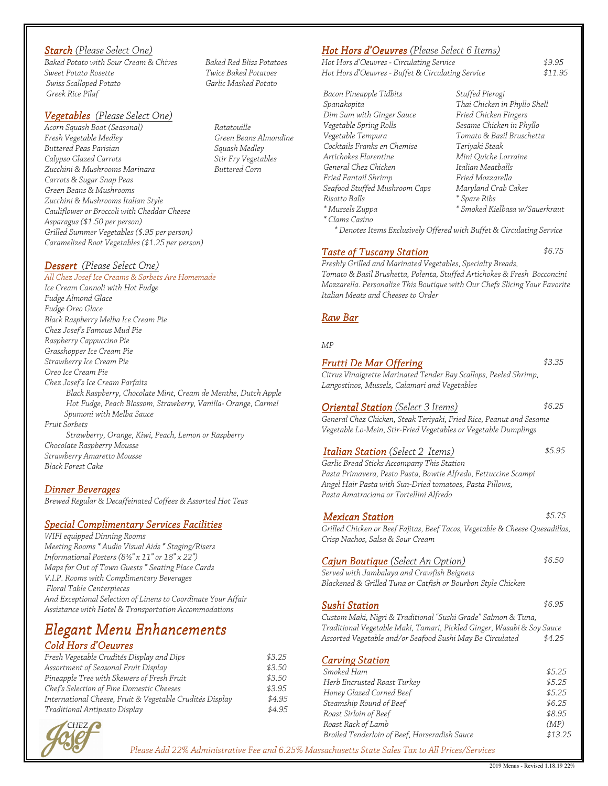### Starch (Please Select One)

Baked Potato with Sour Cream & Chives Sweet Potato Rosette Swiss Scalloped Potato Greek Rice Pilaf

#### Vegetables (Please Select One)

Acorn Squash Boat (Seasonal) Fresh Vegetable Medley Buttered Peas Parisian Calypso Glazed Carrots Zucchini & Mushrooms Marinara Carrots & Sugar Snap Peas Green Beans & Mushrooms Zucchini & Mushrooms Italian Style Cauliflower or Broccoli with Cheddar Cheese Asparagus (\$1.50 per person) Grilled Summer Vegetables (\$.95 per person) Caramelized Root Vegetables (\$1.25 per person)

#### Dessert (Please Select One)

All Chez Josef Ice Creams & Sorbets Are Homemade Ice Cream Cannoli with Hot Fudge Fudge Almond Glace Fudge Oreo Glace Black Raspberry Melba Ice Cream Pie Chez Josef's Famous Mud Pie Raspberry Cappuccino Pie Grasshopper Ice Cream Pie Strawberry Ice Cream Pie Oreo Ice Cream Pie Chez Josef's Ice Cream Parfaits Black Raspberry, Chocolate Mint, Cream de Menthe, Dutch Apple Hot Fudge, Peach Blossom, Strawberry, Vanilla- Orange, Carmel Spumoni with Melba Sauce Fruit Sorbets Strawberry, Orange, Kiwi, Peach, Lemon or Raspberry Chocolate Raspberry Mousse Strawberry Amaretto Mousse Black Forest Cake

#### Dinner Beverages

Brewed Regular & Decaffeinated Coffees & Assorted Hot Teas

#### **Special Complimentary Services Facilities**

WIFI equipped Dinning Rooms Meeting Rooms \* Audio Visual Aids \* Staging/Risers Informational Posters (8½" x 11" or 18" x 22") Maps for Out of Town Guests \* Seating Place Cards V.I.P. Rooms with Complimentary Beverages Floral Table Centerpieces And Exceptional Selection of Linens to Coordinate Your Affair Assistance with Hotel & Transportation Accommodations

# **Elegant Menu Enhancements**

# Cold Hors d'Oeuvres

| Fresh Vegetable Crudités Display and Dips                | \$3.25 |
|----------------------------------------------------------|--------|
| Assortment of Seasonal Fruit Display                     | \$3.50 |
| Pineapple Tree with Skewers of Fresh Fruit               | \$3.50 |
| Chef's Selection of Fine Domestic Cheeses                | \$3.95 |
| International Cheese, Fruit & Vegetable Crudités Display | \$4.95 |
| Traditional Antipasto Display                            | \$4.95 |



Baked Red Bliss Potatoes Twice Baked Potatoes Garlic Mashed Potato

Ratatouille Green Beans Almondine Squash Medley Stir Fry Vegetables Buttered Corn

#### Hot Hors d'Oeuvres (Please Select 6 Items)

Hot Hors d'Oeuvres - Circulating Service<br>\$9.95 Hot Hors d'Oeuvres - Buffet & Circulating Service \$11.95

Bacon Pineapple Tidbits Spanakopita Dim Sum with Ginger Sauce Vegetable Spring Rolls Vegetable Tempura Cocktails Franks en Chemise Artichokes Florentine General Chez Chicken Fried Fantail Shrimp Seafood Stuffed Mushroom Caps Risotto Balls \* Mussels Zuppa \* Clams Casino

Stuffed Pierogi Thai Chicken in Phyllo Shell Fried Chicken Fingers Sesame Chicken in Phyllo Tomato & Basil Bruschetta Teriyaki Steak Mini Quiche Lorraine Italian Meatballs Fried Mozzarella Maryland Crab Cakes \* Spare Ribs \* Smoked Kielbasa w/Sauerkraut

\* Denotes Items Exclusively Offered with Buffet & Circulating Service

#### Taste of Tuscany Station  $$6.75$

Freshly Grilled and Marinated Vegetables, Specialty Breads, Tomato & Basil Brushetta, Polenta, Stuffed Artichokes & Fresh Bocconcini Mozzarella. Personalize This Boutique with Our Chefs Slicing Your Favorite Italian Meats and Cheeses to Order

#### Raw Bar

#### MP

### Frutti De Mar Offering  $$3.35$

Citrus Vinaigrette Marinated Tender Bay Scallops, Peeled Shrimp, Langostinos, Mussels, Calamari and Vegetables

#### Oriental Station (Select 3 Items)  $$6.25$

General Chez Chicken, Steak Teriyaki, Fried Rice, Peanut and Sesame Vegetable Lo-Mein, Stir-Fried Vegetables or Vegetable Dumplings

#### Italian Station (Select 2 Items)  $$5.95$

Garlic Bread Sticks Accompany This Station Pasta Primavera, Pesto Pasta, Bowtie Alfredo, Fettuccine Scampi Angel Hair Pasta with Sun-Dried tomatoes, Pasta Pillows, Pasta Amatraciana or Tortellini Alfredo

#### **Mexican Station** \$5.75

Grilled Chicken or Beef Fajitas, Beef Tacos, Vegetable & Cheese Quesadillas, Crisp Nachos, Salsa & Sour Cream

# Cajun Boutique (Select An Option) \$6.50

Served with Jambalaya and Crawfish Beignets Blackened & Grilled Tuna or Catfish or Bourbon Style Chicken

#### Sushi Station  $$6.95$

Custom Maki, Nigri & Traditional "Sushi Grade" Salmon & Tuna, Traditional Vegetable Maki, Tamari, Pickled Ginger, Wasabi & Soy Sauce Assorted Vegetable and/or Seafood Sushi May Be Circulated \$4.25

# **Carving Station**

| Smoked Ham                                    | \$5.25  |
|-----------------------------------------------|---------|
| Herb Encrusted Roast Turkey                   | \$5.25  |
| Honey Glazed Corned Beef                      | \$5.25  |
| Steamship Round of Beef                       | \$6.25  |
| Roast Sirloin of Beef                         | \$8.95  |
| Roast Rack of Lamb                            | (MP)    |
| Broiled Tenderloin of Beef, Horseradish Sauce | \$13.25 |

Please Add 22% Administrative Fee and 6.25% Massachusetts State Sales Tax to All Prices/Services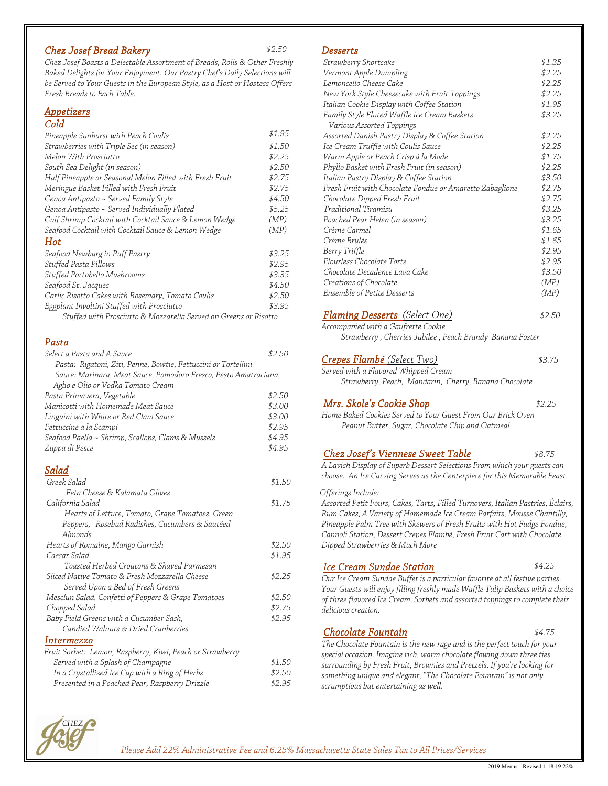# Chez Josef Bread Bakery \$2.50

Chez Josef Boasts a Delectable Assortment of Breads, Rolls & Other Freshly Baked Delights for Your Enjoyment. Our Pastry Chef's Daily Selections will be Served to Your Guests in the European Style, as a Host or Hostess Offers Fresh Breads to Each Table.

#### Appetizers

#### Cold

| Pineapple Sunburst with Peach Coulis                             | \$1.95 |
|------------------------------------------------------------------|--------|
| Strawberries with Triple Sec (in season)                         | \$1.50 |
| Melon With Prosciutto                                            | \$2.25 |
| South Sea Delight (in season)                                    | \$2.50 |
| Half Pineapple or Seasonal Melon Filled with Fresh Fruit         | \$2.75 |
| Meringue Basket Filled with Fresh Fruit                          | \$2.75 |
| Genoa Antipasto ~ Served Family Style                            | \$4.50 |
| Genoa Antipasto ~ Served Individually Plated                     | \$5.25 |
| Gulf Shrimp Cocktail with Cocktail Sauce & Lemon Wedge           | (MP)   |
| Seafood Cocktail with Cocktail Sauce & Lemon Wedge               | (MP)   |
| Hot                                                              |        |
| Seafood Newburg in Puff Pastry                                   | \$3.25 |
| Stuffed Pasta Pillows                                            | \$2.95 |
| Stuffed Portobello Mushrooms                                     | \$3.35 |
| Seafood St. Jacques                                              | \$4.50 |
| Garlic Risotto Cakes with Rosemary, Tomato Coulis                | \$2.50 |
| Eggplant Involtini Stuffed with Prosciutto                       | \$3.95 |
| Stuffed with Prosciutto & Mozzarella Served on Greens or Risotto |        |

#### Pasta

| Select a Pasta and A Sauce                                       | \$2.50 |
|------------------------------------------------------------------|--------|
| Pasta: Rigatoni, Ziti, Penne, Bowtie, Fettuccini or Tortellini   |        |
| Sauce: Marinara, Meat Sauce, Pomodoro Fresco, Pesto Amatraciana, |        |
| Aglio e Olio or Vodka Tomato Cream                               |        |
| Pasta Primavera, Vegetable                                       | \$2.50 |
| Manicotti with Homemade Meat Sauce                               | \$3.00 |
| Linguini with White or Red Clam Sauce                            | \$3.00 |
| Fettuccine a la Scampi                                           | \$2.95 |
| Seafood Paella ~ Shrimp, Scallops, Clams & Mussels               | \$4.95 |
| Zuppa di Pesce                                                   | \$4.95 |
| Salad                                                            |        |
| Greek Salad                                                      | \$1.50 |
| Feta Cheese & Kalamata Olives                                    |        |
| California Salad                                                 | \$1.75 |
| Hearts of Lettuce, Tomato, Grape Tomatoes, Green                 |        |
| Peppers, Rosebud Radishes, Cucumbers & Sautéed                   |        |
| Almonds                                                          |        |
| Hearts of Romaine, Mango Garnish                                 | \$2.50 |
| Caesar Salad                                                     | \$1.95 |
| Toasted Herbed Croutons & Shaved Parmesan                        |        |
| Sliced Native Tomato & Fresh Mozzarella Cheese                   | \$2.25 |
| Served Upon a Bed of Fresh Greens                                |        |
| Mesclun Salad, Confetti of Peppers & Grape Tomatoes              | \$2.50 |
| Chopped Salad                                                    | \$2.75 |
| Baby Field Greens with a Cucumber Sash,                          | \$2.95 |
| Candied Walnuts & Dried Cranberries                              |        |
| Intermezzo                                                       |        |
| Fruit Sorbet: Lemon, Raspberry, Kiwi, Peach or Strawberry        |        |
| Served with a Splash of Champagne                                | \$1.50 |
| In a Crystallized Ice Cup with a Ring of Herbs                   | \$2.50 |
| Presented in a Poached Pear, Raspberry Drizzle                   | \$2.95 |

#### **Desserts**

| -----                                                    |        |
|----------------------------------------------------------|--------|
| Strawberry Shortcake                                     | \$1.35 |
| Vermont Apple Dumpling                                   | \$2.25 |
| Lemoncello Cheese Cake                                   | \$2.25 |
| New York Style Cheesecake with Fruit Toppings            | \$2.25 |
| Italian Cookie Display with Coffee Station               | \$1.95 |
| Family Style Fluted Waffle Ice Cream Baskets             | \$3.25 |
| Various Assorted Toppings                                |        |
| Assorted Danish Pastry Display & Coffee Station          | \$2.25 |
| Ice Cream Truffle with Coulis Sauce                      | \$2.25 |
| Warm Apple or Peach Crisp á la Mode                      | \$1.75 |
| Phyllo Basket with Fresh Fruit (in season)               | \$2.25 |
| Italian Pastry Display & Coffee Station                  | \$3.50 |
| Fresh Fruit with Chocolate Fondue or Amaretto Zabaglione | \$2.75 |
| Chocolate Dipped Fresh Fruit                             | \$2.75 |
| Traditional Tiramisu                                     | \$3.25 |
| Poached Pear Helen (in season)                           | \$3.25 |
| Crème Carmel                                             | \$1.65 |
| Crème Brulée                                             | \$1.65 |
| Berry Triffle                                            | \$2.95 |
| Flourless Chocolate Torte                                | \$2.95 |
| Chocolate Decadence Lava Cake                            | \$3.50 |
| Creations of Chocolate                                   | (MP)   |
| Ensemble of Petite Desserts                              | (MP)   |
| <b>Flaming Desserts</b> (Select One)                     | \$2.50 |

Accompanied with a Gaufrette Cookie Strawberry , Cherries Jubilee , Peach Brandy Banana Foster

#### Crepes Flambé (Select Two) \$3.75

Served with a Flavored Whipped Cream Strawberry, Peach, Mandarin, Cherry, Banana Chocolate

Mrs. Skole's Cookie Shop  $$2.25$ 

Home Baked Cookies Served to Your Guest From Our Brick Oven Peanut Butter, Sugar, Chocolate Chip and Oatmeal

#### Chez Josef's Viennese Sweet Table \$8.75

A Lavish Display of Superb Dessert Selections From which your guests can choose. An Ice Carving Serves as the Centerpiece for this Memorable Feast.

Offerings Include:

Assorted Petit Fours, Cakes, Tarts, Filled Turnovers, Italian Pastries, Éclairs, Rum Cakes, A Variety of Homemade Ice Cream Parfaits, Mousse Chantilly, Pineapple Palm Tree with Skewers of Fresh Fruits with Hot Fudge Fondue, Cannoli Station, Dessert Crepes Flambé, Fresh Fruit Cart with Chocolate Dipped Strawberries & Much More

# Ice Cream Sundae Station

\$4.25

Our Ice Cream Sundae Buffet is a particular favorite at all festive parties. Your Guests will enjoy filling freshly made Waffle Tulip Baskets with a choice of three flavored Ice Cream, Sorbets and assorted toppings to complete their delicious creation.

# Chocolate Fountain  $$4.75$

The Chocolate Fountain is the new rage and is the perfect touch for your special occasion. Imagine rich, warm chocolate flowing down three ties surrounding by Fresh Fruit, Brownies and Pretzels. If you're looking for something unique and elegant, "The Chocolate Fountain" is not only scrumptious but entertaining as well.